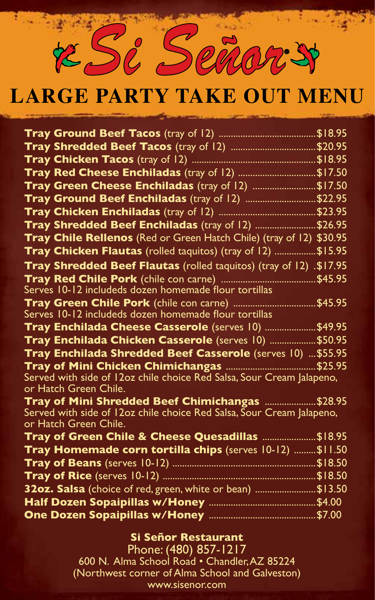

# **Large party take out menu**

| Tray Red Cheese Enchiladas (tray of 12) \$17.50                                                          |  |
|----------------------------------------------------------------------------------------------------------|--|
| Tray Green Cheese Enchiladas (tray of 12) \$17.50                                                        |  |
| Tray Ground Beef Enchiladas (tray of 12) \$22.95                                                         |  |
|                                                                                                          |  |
| Tray Shredded Beef Enchiladas (tray of 12) \$26.95                                                       |  |
| Tray Chile Rellenos (Red or Green Hatch Chile) (tray of 12) \$30.95                                      |  |
| Tray Chicken Flautas (rolled taquitos) (tray of 12) \$15.95                                              |  |
| Tray Shredded Beef Flautas (rolled taquitos) (tray of 12) .\$17.95                                       |  |
|                                                                                                          |  |
| Serves 10-12 includeds dozen homemade flour tortillas                                                    |  |
| Tray Green Chile Pork (chile con carne) \$45.95<br>Serves 10-12 includeds dozen homemade flour tortillas |  |
| Tray Enchilada Cheese Casserole (serves 10) \$49.95                                                      |  |
| Tray Enchilada Chicken Casserole (serves 10) \$50.95                                                     |  |
| Tray Enchilada Shredded Beef Casserole (serves 10)  \$55.95                                              |  |
|                                                                                                          |  |
| Served with side of 12oz chile choice Red Salsa, Sour Cream Jalapeno,<br>or Hatch Green Chile.           |  |
| Tray of Mini Shredded Beef Chimichangas \$28.95                                                          |  |
| Served with side of 12oz chile choice Red Salsa, Sour Cream Jalapeno,<br>or Hatch Green Chile.           |  |
| Tray of Green Chile & Cheese Quesadillas \$18.95                                                         |  |
| Tray Homemade corn tortilla chips (serves 10-12)  \$11.50                                                |  |
|                                                                                                          |  |
|                                                                                                          |  |
| 32oz. Salsa (choice of red, green, white or bean) \$13.50                                                |  |
|                                                                                                          |  |
|                                                                                                          |  |

#### **Si Señor Restaurant**

Phone: (480) 857-1217 600 N. Alma School Road • Chandler, AZ 85224 (Northwest corner of Alma School and Galveston) www.sisenor.com